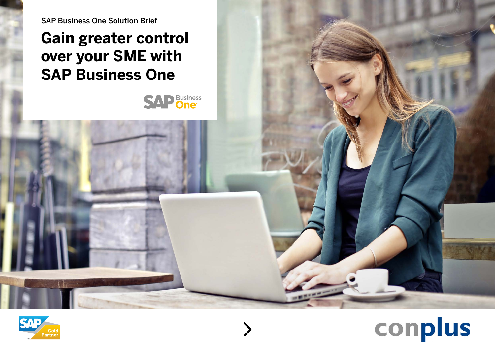SAP Business One Solution Brief

### **Gain greater control over your SME with SAP Business One**





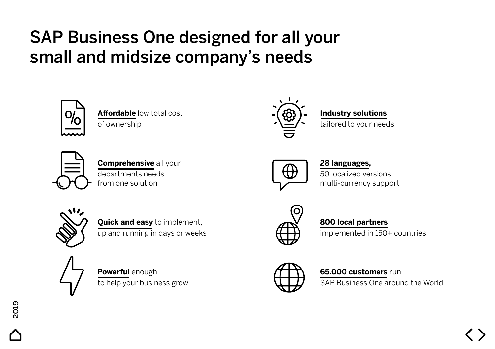## SAP Business One designed for all your small and midsize company's needs



**Affordable** low total cost of ownership



### **Industry solutions**

tailored to your needs



**Comprehensive** all your departments needs from one solution



#### **28 languages,**

50 localized versions, multi-currency support



**Quick and easy** to implement, up and running in days or weeks



**Powerful** enough to help your business grow



#### **800 local partners**

implemented in 150+ countries



#### **65.000 customers** run

SAP Business One around the World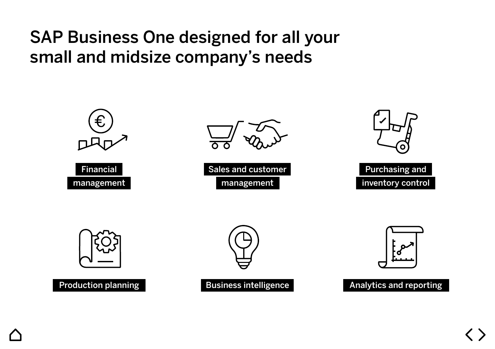### SAP Business One designed for all your small and midsize company's needs

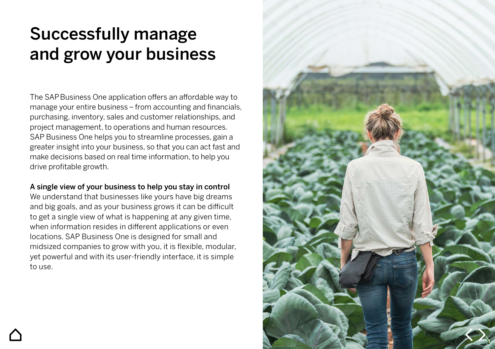### Successfully manage and grow your business

The SAPBusiness One application offers an affordable way to manage your entire business – from accounting and financials, purchasing, inventory, sales and customer relationships, and project management, to operations and human resources. SAP Business One helps you to streamline processes, gain a greater insight into your business, so that you can act fast and make decisions based on real time information, to help you drive profitable growth.

#### A single view of your business to help you stay in control

We understand that businesses like yours have big dreams and big goals, and as your business grows it can be difficult to get a single view of what is happening at any given time, when information resides in different applications or even locations. SAP Business One is designed for small and midsized companies to grow with you, it is flexible, modular, yet powerful and with its user-friendly interface, it is simple to use.

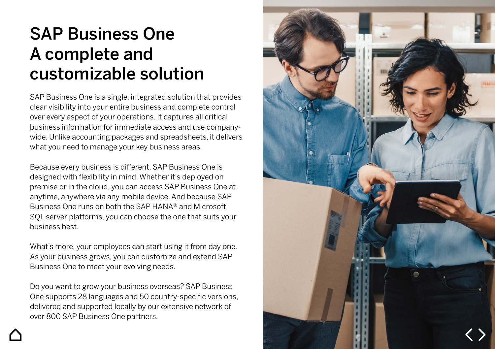### SAP Business One A complete and customizable solution

SAP Business One is a single, integrated solution that provides clear visibility into your entire business and complete control over every aspect of your operations. It captures all critical business information for immediate access and use companywide. Unlike accounting packages and spreadsheets, it delivers what you need to manage your key business areas.

Because every business is different, SAP Business One is designed with flexibility in mind. Whether it's deployed on premise or in the cloud, you can access SAP Business One at anytime, anywhere via any mobile device. And because SAP Business One runs on both the SAP HANA® and Microsoft SQL server platforms, you can choose the one that suits your business best.

What's more, your employees can start using it from day one. As your business grows, you can customize and extend SAP Business One to meet your evolving needs.

Do you want to grow your business overseas? SAP Business One supports 28 languages and 50 country-specific versions, delivered and supported locally by our extensive network of over 800 SAP Business One partners.

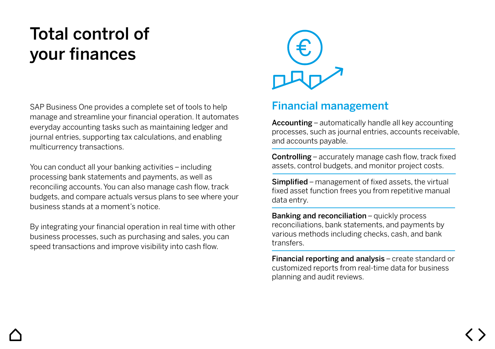## Total control of your finances

SAP Business One provides a complete set of tools to help **Financial management** manage and streamline your financial operation. It automates everyday accounting tasks such as maintaining ledger and journal entries, supporting tax calculations, and enabling multicurrency transactions.

You can conduct all your banking activities – including processing bank statements and payments, as well as reconciling accounts. You can also manage cash flow, track budgets, and compare actuals versus plans to see where your business stands at a moment's notice.

By integrating your financial operation in real time with other business processes, such as purchasing and sales, you can speed transactions and improve visibility into cash flow.



Accounting – automatically handle all key accounting processes, such as journal entries, accounts receivable, and accounts payable.

Controlling – accurately manage cash flow, track fixed assets, control budgets, and monitor project costs.

Simplified – management of fixed assets, the virtual fixed asset function frees you from repetitive manual data entry.

Banking and reconciliation – quickly process reconciliations, bank statements, and payments by various methods including checks, cash, and bank transfers.

Financial reporting and analysis – create standard or customized reports from real-time data for business planning and audit reviews.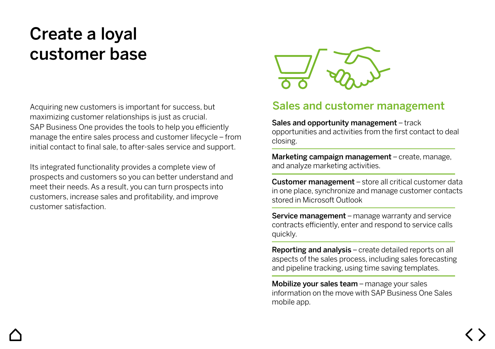### Create a loyal customer base

Acquiring new customers is important for success, but maximizing customer relationships is just as crucial. SAP Business One provides the tools to help you efficiently manage the entire sales process and customer lifecycle – from initial contact to final sale, to after-sales service and support.

Its integrated functionality provides a complete view of prospects and customers so you can better understand and meet their needs. As a result, you can turn prospects into customers, increase sales and profitability, and improve customer satisfaction.



#### Sales and customer management

Sales and opportunity management - track opportunities and activities from the first contact to deal closing.

Marketing campaign management - create, manage, and analyze marketing activities.

Customer management – store all critical customer data in one place, synchronize and manage customer contacts stored in Microsoft Outlook

Service management – manage warranty and service contracts efficiently, enter and respond to service calls quickly.

Reporting and analysis – create detailed reports on all aspects of the sales process, including sales forecasting and pipeline tracking, using time saving templates.

Mobilize your sales team – manage your sales information on the move with SAP Business One Sales mobile app.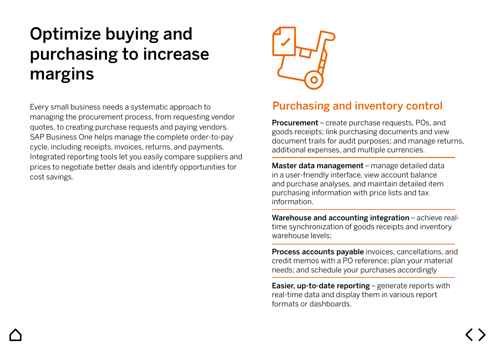## Optimize buying and purchasing to increase margins

Every small business needs a systematic approach to managing the procurement process, from requesting vendor quotes, to creating purchase requests and paying vendors. SAP Business One helps manage the complete order-to-pay cycle, including receipts, invoices, returns, and payments. Integrated reporting tools let you easily compare suppliers and prices to negotiate better deals and identify opportunities for cost savings.



#### Purchasing and inventory control

Procurement – create purchase requests, POs, and goods receipts; link purchasing documents and view document trails for audit purposes; and manage returns, additional expenses, and multiple currencies.

Master data management – manage detailed data in a user-friendly interface, view account balance and purchase analyses, and maintain detailed item purchasing information with price lists and tax information.

Warehouse and accounting integration – achieve realtime synchronization of goods receipts and inventory warehouse levels;

Process accounts payable invoices, cancellations, and credit memos with a PO reference; plan your material needs; and schedule your purchases accordingly

Easier, up-to-date reporting – generate reports with real-time data and display them in various report formats or dashboards.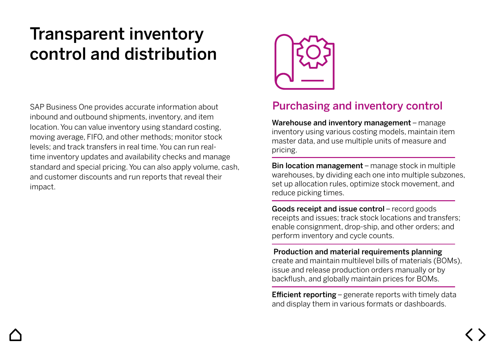### Transparent inventory control and distribution

SAP Business One provides accurate information about inbound and outbound shipments, inventory, and item location. You can value inventory using standard costing, moving average, FIFO, and other methods; monitor stock levels; and track transfers in real time. You can run realtime inventory updates and availability checks and manage standard and special pricing. You can also apply volume, cash, and customer discounts and run reports that reveal their impact.



#### Purchasing and inventory control

Warehouse and inventory management - manage inventory using various costing models, maintain item master data, and use multiple units of measure and pricing.

Bin location management – manage stock in multiple warehouses, by dividing each one into multiple subzones, set up allocation rules, optimize stock movement, and reduce picking times.

Goods receipt and issue control – record goods receipts and issues; track stock locations and transfers; enable consignment, drop-ship, and other orders; and perform inventory and cycle counts.

#### Production and material requirements planning create and maintain multilevel bills of materials (BOMs), issue and release production orders manually or by backflush, and globally maintain prices for BOMs.

**Efficient reporting** – generate reports with timely data and display them in various formats or dashboards.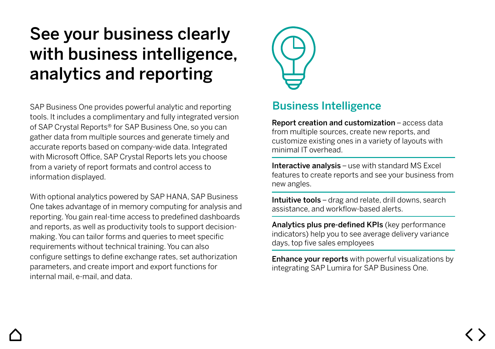### See your business clearly with business intelligence, analytics and reporting

SAP Business One provides powerful analytic and reporting tools. It includes a complimentary and fully integrated version of SAP Crystal Reports® for SAP Business One, so you can gather data from multiple sources and generate timely and accurate reports based on company-wide data. Integrated with Microsoft Office, SAP Crystal Reports lets you choose from a variety of report formats and control access to information displayed.

With optional analytics powered by SAP HANA, SAP Business One takes advantage of in memory computing for analysis and reporting. You gain real-time access to predefined dashboards and reports, as well as productivity tools to support decisionmaking. You can tailor forms and queries to meet specific requirements without technical training. You can also configure settings to define exchange rates, set authorization parameters, and create import and export functions for internal mail, e-mail, and data.



#### Business Intelligence

Report creation and customization – access data from multiple sources, create new reports, and customize existing ones in a variety of layouts with minimal IT overhead.

Interactive analysis - use with standard MS Excel features to create reports and see your business from new angles.

Intuitive tools – drag and relate, drill downs, search assistance, and workflow-based alerts.

Analytics plus pre-defined KPIs (key performance indicators) help you to see average delivery variance days, top five sales employees

**Enhance your reports** with powerful visualizations by integrating SAP Lumira for SAP Business One.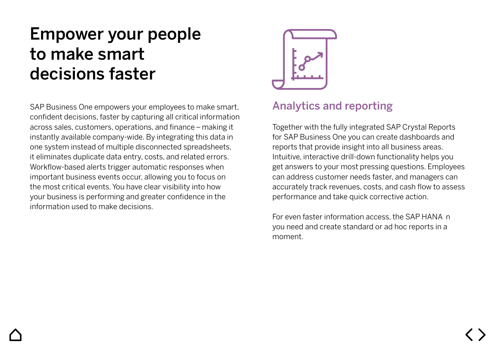### Empower your people to make smart decisions faster

SAP Business One empowers your employees to make smart, confident decisions, faster by capturing all critical information across sales, customers, operations, and finance – making it instantly available company-wide. By integrating this data in one system instead of multiple disconnected spreadsheets, it eliminates duplicate data entry, costs, and related errors. Workflow-based alerts trigger automatic responses when important business events occur, allowing you to focus on the most critical events. You have clear visibility into how your business is performing and greater confidence in the information used to make decisions.



#### Analytics and reporting

Together with the fully integrated SAP Crystal Reports for SAP Business One you can create dashboards and reports that provide insight into all business areas. Intuitive, interactive drill-down functionality helps you get answers to your most pressing questions. Employees can address customer needs faster, and managers can accurately track revenues, costs, and cash flow to assess performance and take quick corrective action.

For even faster information access, the SAP HANA n you need and create standard or ad hoc reports in a moment.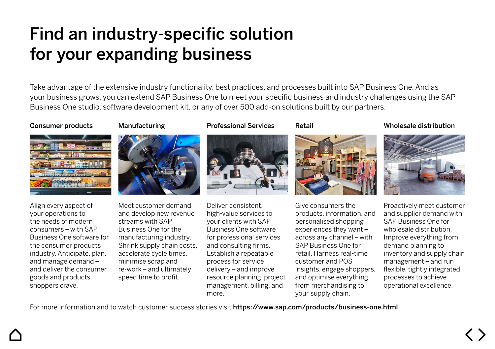### Find an industry-specific solution for your expanding business

Take advantage of the extensive industry functionality, best practices, and processes built into SAP Business One. And as your business grows, you can extend SAP Business One to meet your specific business and industry challenges using the SAP Business One studio, software development kit, or any of over 500 add-on solutions built by our partners.

Professional Services

#### Consumer products





Align every aspect of your operations to the needs of modern consumers – with SAP Business One software for the consumer products industry. Anticipate, plan, and manage demand – and deliver the consumer goods and products shoppers crave.

Meet customer demand and develop new revenue streams with SAP Business One for the manufacturing industry. Shrink supply chain costs, accelerate cycle times, minimise scrap and re-work – and ultimately speed time to profit.

Deliver consistent, high-value services to your clients with SAP Business One software for professional services and consulting firms. Establish a repeatable process for service delivery – and improve resource planning, project management, billing, and more.

Retail



Give consumers the products, information, and personalised shopping experiences they want – across any channel – with SAP Business One for retail. Harness real-time customer and POS insights, engage shoppers, and optimise everything from merchandising to your supply chain.

Wholesale distribution



Proactively meet customer and supplier demand with SAP Business One for wholesale distribution. Improve everything from demand planning to inventory and supply chain management – and run flexible, tightly integrated processes to achieve operational excellence.

For more information and to watch customer success stories visit https://www.sap.com/products/business-one.html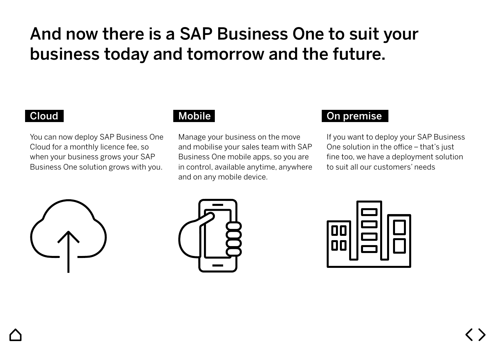### And now there is a SAP Business One to suit your business today and tomorrow and the future.

#### Cloud

You can now deploy SAP Business One Cloud for a monthly licence fee, so when your business grows your SAP Business One solution grows with you.

#### Mobile

Manage your business on the move and mobilise your sales team with SAP Business One mobile apps, so you are in control, available anytime, anywhere and on any mobile device.

#### On premise

If you want to deploy your SAP Business One solution in the office – that's just fine too, we have a deployment solution to suit all our customers' needs





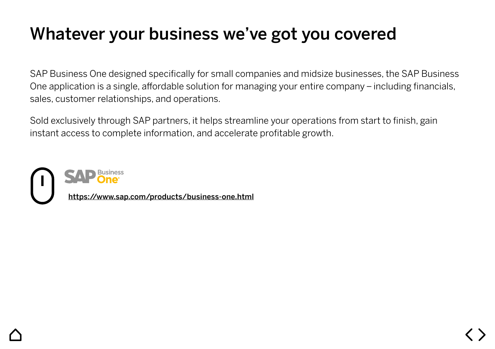### Whatever your business we've got you covered

SAP Business One designed specifically for small companies and midsize businesses, the SAP Business One application is a single, affordable solution for managing your entire company – including financials, sales, customer relationships, and operations.

Sold exclusively through SAP partners, it helps streamline your operations from start to finish, gain instant access to complete information, and accelerate profitable growth.

https://www.sap.com/products/business-one.html